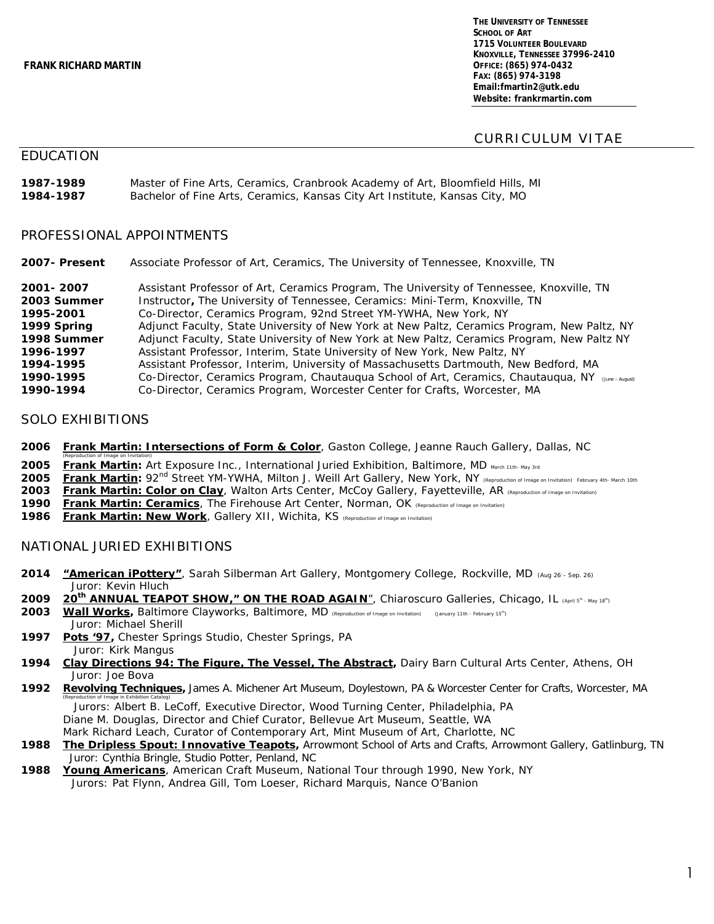**THE UNIVERSITY OF TENNESSEE SCHOOL OF ART 1715 VOLUNTEER BOULEVARD KNOXVILLE, TENNESSEE 37996-2410 OFFICE: (865) 974-0432 FAX: (865) 974-3198 Email:fmartin2@utk.edu Website: frankrmartin.com**

## CURRICULUM VITAE

## EDUCATION

| 1987-1989 | Master of Fine Arts, Ceramics, Cranbrook Academy of Art, Bloomfield Hills, MI |
|-----------|-------------------------------------------------------------------------------|
| 1984-1987 | Bachelor of Fine Arts, Ceramics, Kansas City Art Institute, Kansas City, MO   |

#### PROFESSIONAL APPOINTMENTS

**2007- Present** Associate Professor of Art, Ceramics, The University of Tennessee, Knoxville, TN

**2001- 2007** Assistant Professor of Art, Ceramics Program, The University of Tennessee, Knoxville, TN **2003 Summer** *Instructor,* The University of Tennessee, Ceramics: Mini-Term, Knoxville, TN **1995-2001** Co-Director, Ceramics Program, 92nd Street YM-YWHA, New York, NY **1999 Spring** Adjunct Faculty, State University of New York at New Paltz, Ceramics Program, New Paltz, NY **1998 Summer** Adjunct Faculty, State University of New York at New Paltz, Ceramics Program, New Paltz NY **1996-1997** Assistant Professor, Interim, State University of New York, New Paltz, NY<br>**1994-1995** Assistant Professor, Interim, University of Massachusetts Dartmouth, New **1994-1995** Assistant Professor, Interim, University of Massachusetts Dartmouth, New Bedford, MA **1990-1995** Co-Director, Ceramics Program, Chautauqua School of Art, Ceramics, Chautauqua, NY (June-August)<br>1990-1994 Co-Director, Ceramics Program, Worcester Center for Crafts. Worcester. MA **1990-1994** Co-Director, Ceramics Program, Worcester Center for Crafts, Worcester, MA

### SOLO EXHIBITIONS

- **2006** *Frank Martin: Intersections of Form & Color*, Gaston College, Jeanne Rauch Gallery, Dallas, NC
- *(Reproduction of Image on Invitation)* 2005 *Frank Martin:* Art Exposure Inc., International Juried Exhibition, Baltimore, MD March 11th- May 3rd
- **2005** *Frank Martin:* 92nd Street YM-YWHA, Milton J. Weill Art Gallery, New York, NY *(Reproduction of Image on Invitation) February 4th- March 10th*
- **2003** *Frank Martin: Color on Clay*, Walton Arts Center, McCoy Gallery, Fayetteville, AR *(Reproduction of Image on Invitation)*
- **1990** *Frank Martin: Ceramics*, The Firehouse Art Center, Norman, OK *(Reproduction of Image on Invitation)*
- **1986** *Frank Martin: New Work*, Gallery XII, Wichita, KS *(Reproduction of Image on Invitation)*

### NATIONAL JURIED EXHIBITIONS

- **2014** *"American iPottery"*, Sarah Silberman Art Gallery, Montgomery College, Rockville, MD (Aug 26, Sep. 26) Juror: Kevin Hluch
- 2009 **20<sup>th</sup> ANNUAL TEAPOT SHOW," ON THE ROAD AGAIN"**, Chiaroscuro Galleries, Chicago, IL (April 5<sup>th</sup> May 18<sup>th</sup>)
- **2003** *Wall Works,* Baltimore Clayworks, Baltimore, MD *(Reproduction of Image on Invitation)* (*January 11th - February 15th)* Juror: Michael Sherill
- **1997** *Pots '97,* Chester Springs Studio, Chester Springs, PA Juror: Kirk Mangus
- **1994** *Clay Directions 94: The Figure, The Vessel, The Abstract***,** Dairy Barn Cultural Arts Center, Athens, OH Juror: Joe Bova
- **1992** *Revolving Techniques***,** James A. Michener Art Museum, Doylestown, PA & Worcester Center for Crafts, Worcester, MA *(Reproduction of Image in Exhibition Catalog)*

 Jurors: Albert B. LeCoff, Executive Director, Wood Turning Center, Philadelphia, PA Diane M. Douglas, Director and Chief Curator, Bellevue Art Museum, Seattle, WA Mark Richard Leach, Curator of Contemporary Art, Mint Museum of Art, Charlotte, NC

- **1988 The Dripless Spout: Innovative Teapots,** Arrowmont School of Arts and Crafts, Arrowmont Gallery, Gatlinburg, TN Juror: Cynthia Bringle, Studio Potter, Penland, NC
- **1988** *Young Americans*, American Craft Museum, National Tour through 1990, New York, NYJurors: Pat Flynn, Andrea Gill, Tom Loeser, Richard Marquis, Nance O'Banion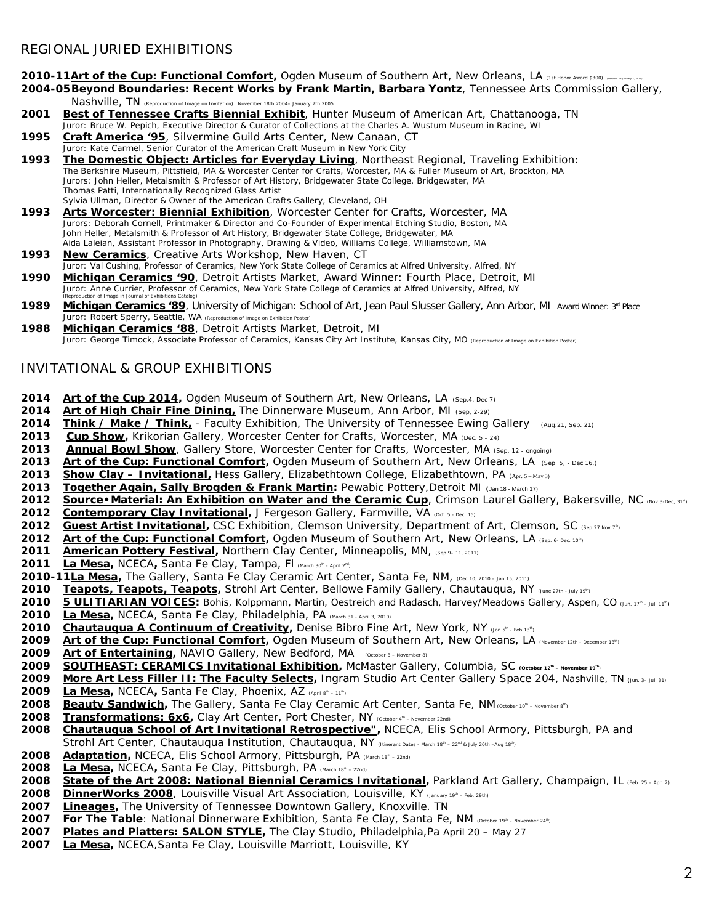#### **2010-11***Art of the Cup: Functional Comfort*<sup>, Ogden Museum of Southern Art, New Orleans, LA (1st Honor Award \$300) (December 28-January 2, 2011)</sup>

- **2004-05***Beyond Boundaries: Recent Works by* **Frank Martin, Barbara Yontz**, Tennessee Arts Commission Gallery, Nashville, TN *(Reproduction of Image on Invitation) November 18th 2004– January 7th 2005*
- **2001** *Best of Tennessee Crafts Biennial Exhibit,* Hunter Museum of American Art, Chattanooga, TN Juror: Bruce W. Pepich, Executive Director & Curator of Collections at the Charles A. Wustum Museum in Racine, WI
- **1995** *Craft America '95*, Silvermine Guild Arts Center, New Canaan, CT Juror: Kate Carmel, Senior Curator of the American Craft Museum in New York City
- **1993** *The Domestic Object: Articles for Everyday Living*, Northeast Regional, Traveling Exhibition: The Berkshire Museum, Pittsfield, MA & Worcester Center for Crafts, Worcester, MA & Fuller Museum of Art, Brockton, MA Jurors: John Heller, Metalsmith & Professor of Art History, Bridgewater State College, Bridgewater, MA Thomas Patti, Internationally Recognized Glass Artist Sylvia Ullman, Director & Owner of the American Crafts Gallery, Cleveland, OH
- **1993** *Arts Worcester: Biennial Exhibition,* Worcester Center for Crafts, Worcester, MA Jurors: Deborah Cornell, Printmaker & Director and Co-Founder of Experimental Etching Studio, Boston, MA John Heller, Metalsmith & Professor of Art History, Bridgewater State College, Bridgewater, MA Aida Laleian, Assistant Professor in Photography, Drawing & Video, Williams College, Williamstown, MA
- **1993** *New Ceramics,* Creative Arts Workshop, New Haven, CT Juror: Val Cushing, Professor of Ceramics, New York State College of Ceramics at Alfred University, Alfred, NY **1990** *Michigan Ceramics '90,* Detroit Artists Market, Award Winner: Fourth Place, Detroit, MI Juror: Anne Currier, Professor of Ceramics, New York State College of Ceramics at Alfred University, Alfred, NY
- *(Reproduction of Image in Journal of Exhibitions Catalog)* 1989 *Michigan Ceramics '89*, University of Michigan: School of Art, Jean Paul Slusser Gallery, Ann Arbor, MI Award Winner: 3<sup>rd</sup> Place Juror: Robert Sperry, Seattle, WA (*Reproduction of Image on Exhibition Poster)*
- **1988** *Michigan Ceramics '88*, Detroit Artists Market, Detroit, MI Juror: George Timock, Associate Professor of Ceramics, Kansas City Art Institute, Kansas City, MO (*Reproduction of Image on Exhibition Poster)*

## INVITATIONAL & GROUP EXHIBITIONS

- 2014 *Art of the Cup 2014*, Ogden Museum of Southern Art, New Orleans, LA (Sep.4, Dec 7)
- **2014 Art of High Chair Fine Dining,** The Dinnerware Museum, Ann Arbor, MI (Sep, 2-29)<br>2014 Think / Make / Think, Faculty Exhibition, The University of Tennessee Ewing
- **2014** *Ihink / Make / Think*, Faculty Exhibition, The University of Tennessee Ewing Gallery (Aug.21, Sep. 21)<br>2013 *Cup Show*, Krikorian Gallery, Worcester Center for Crafts, Worcester, MA (Dec. 5 24)
- **2013** *Cup Show,* Krikorian Gallery, Worcester Center for Crafts, Worcester, MA (Dec. 5 24)
- **2013** *Annual Bowl Show*, Gallery Store, Worcester Center for Crafts, Worcester, MA (Sep. 12 ongoing)
- **2013 Art of the Cup: Functional Comfort**, Ogden Museum of Southern Art, New Orleans, LA (Sep. 5, Dec 16,)
- **2013** *Show Clay – Invitational,* Hess Gallery, Elizabethtown College, Elizabethtown, PA (Apr. 5 May 3)
- **2013** *Iogether Again, Sally Brogden & Frank Martin:* Pewabic Pottery, Detroit MI (Jan 18 March 17)<br>2012 *Source Material: An Exhibition on Water and the Ceramic Cup. Crimson Laurel Gall*
- **Source Material: An Exhibition on Water and the Ceramic Cup**, Crimson Laurel Gallery, Bakersville, NC (Nov.3-Dec, 31<sup>st</sup>)
- **2012** *Contemporary Clay Invitational*, J Fergeson Gallery, Farmville, VA (Oct. 5 Dec. 15)
- **2012** *Guest Artist Invitational*, CSC Exhibition, Clemson University, Department of Art, Clemson, SC (Sep.27 Nov 7<sup>th</sup>)
- **2012 Art of the Cup: Functional Comfort**, Ogden Museum of Southern Art, New Orleans, LA (Sep. 6- Dec. 10<sup>th</sup>)
- **2011** *American Pottery Festival,* Northern Clay Center, Minneapolis, MN, (Sep.9–11, 2011)
- **2011** *La Mesa,* NCECA**,** Santa Fe Clay, Tampa, Fl *(March 30th - April 2nd)*
- **2010-11***La Mesa,* The Gallery, Santa Fe Clay Ceramic Art Center, Santa Fe, NM, (Dec.10, 2010 Jan.15, 2011)
- **2010** *Teapots, Teapots, Teapots,* Strohl Art Center, Bellowe Family Gallery, Chautauqua, NY (June 27th July 19th)
- **2010** *5 ULITIARIAN VOICES:* Bohis, Kolppmann, Martin, Oestreich and Radasch, Harvey/Meadows Gallery, Aspen, CO (Jun. <sup>17</sup>th Jul. <sup>11</sup>th**)**
- **2010** *La Mesa,* NCECA, Santa Fe Clay, Philadelphia, PA *(March 31 - April 3, 2010)*
- **2010** *Chautauqua A Continuum of Creativity*, Denise Bibro Fine Art, New York, NY (Jan 5<sup>n</sup> Feb 13<sup>th</sup>)
- 2009 *Art of the Cup: Functional Comfort*, Ogden Museum of Southern Art, New Orleans, LA (November 12th December 13<sup>th</sup>)<br>2009 Art of Entertaining, NAVIO Gallery, New Bedford, MA (October 8 November 8)
- *Art of Entertaining,* **NAVIO Gallery, New Bedford, MA** (October 8 November 8)
- **2009** *SOUTHEAST: CERAMICS Invitational Exhibition***,** McMaster Gallery, Columbia, SC **(October 12th – November 19th**)
- **2009** *More Art Less Filler II: The Faculty Selects***,** Ingram Studio Art Center Gallery Space 204, Nashville, TN **(**Jun. 3– Jul. 31)
- **2009** *La Mesa,* NCECA**,** Santa Fe Clay, Phoenix, AZ *(April 8th – <sup>11</sup>th)*
- **2008** *Beauty Sandwich***,** The Gallery, Santa Fe Clay Ceramic Art Center, Santa Fe, NM (*October 10th – November 8th)*
- **2008** *Transformations: 6x6***,** Clay Art Center, Port Chester, NY *(October 4th – November 22nd)*
- **2008** *Chautauqua School of Art Invitational Retrospective"***,** NCECA, Elis School Armory, Pittsburgh, PA and Strohl Art Center, Chautauqua Institution, Chautauqua, NY *(Itinerant Dates -* March *<sup>18</sup>th – <sup>22</sup>nd & July 20th –Aug 18th)*
- **2008** *Adaptation***,** NCECA, Elis School Armory, Pittsburgh, PA *(March 18th – 22nd)*
- **2008** *La Mesa,* NCECA**,** Santa Fe Clay, Pittsburgh, PA *(March 18th – 22nd)*
- **2008** *State of the Art 2008: National Biennial Ceramics Invitational,* Parkland Art Gallery, Champaign, IL *(Feb. 25 – Apr. 2)*
- **2008** *DinnerWorks 2008*, Louisville Visual Art Association, Louisville, KY *(January <sup>19</sup>th – Feb. 29th)*
- **2007** *Lineages,* The University of Tennessee Downtown Gallery, Knoxville. TN
- **2007** *For The Table*: National Dinnerware Exhibition, Santa Fe Clay, Santa Fe, NM *(October 19th – November 24th)*
- **2007** *Plates and Platters: SALON STYLE, The Clay Studio, Philadelphia,Pa* April 20 May 27
- **2007** *La Mesa,* NCECA,Santa Fe Clay, Louisville Marriott, Louisville, KY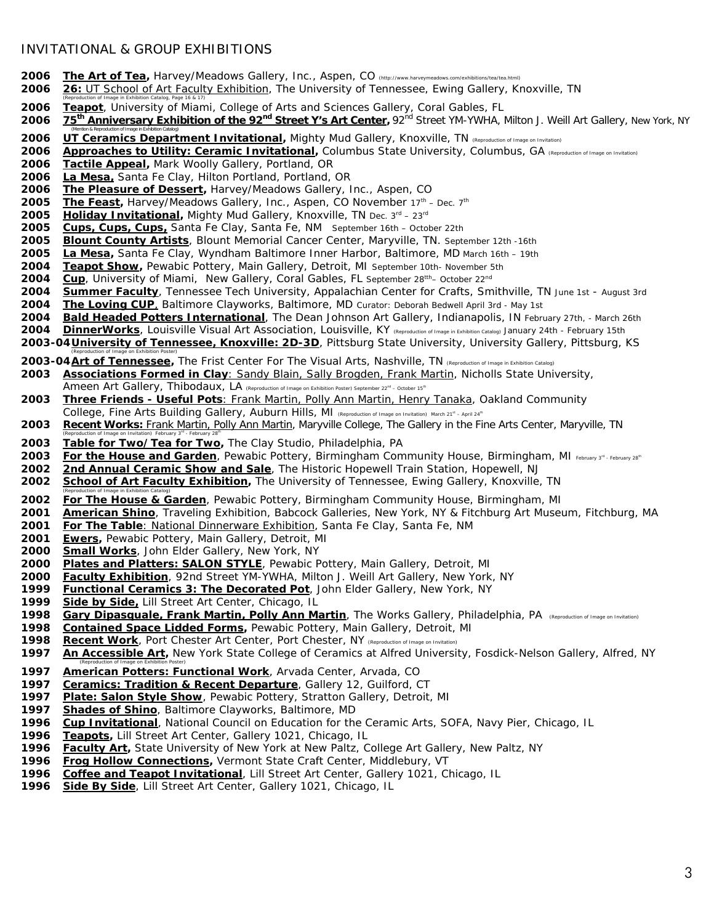### INVITATIONAL & GROUP EXHIBITIONS

*(Mention & Reproduction of Image in Exhibition Catalog)*

- **The Art of Tea,** Harvey/Meadows Gallery, Inc., Aspen, CO *(http://www.harveymeadows.com/exhibitions/tea/tea.html)*
- **26:** *UT School of Art Faculty Exhibition*, The University of Tennessee, Ewing Gallery, Knoxville, TN
- *(Reproduction of Image in Exhibition Catalog, Page 16 & 17) Teapot,* University of Miami, College of Arts and Sciences Gallery, Coral Gables, FL
- *75th Anniversary Exhibition of the 92nd Street Y's Art Center,* 92nd Street YM-YWHA, Milton J. Weill Art Gallery, New York, NY
- *UT Ceramics Department Invitational,* Mighty Mud Gallery, Knoxville, TN *(Reproduction of Image on Invitation)*
- *Approaches to Utility: Ceramic Invitational*, Columbus State University, Columbus, GA *(Reproduction of Image on Invitation*)
- *Tactile Appeal,* Mark Woolly Gallery, Portland, OR
- *La Mesa,* Santa Fe Clay, Hilton Portland, Portland, OR
- *The Pleasure of Dessert,* Harvey/Meadows Gallery, Inc., Aspen, CO
- **2005** *The Feast*, Harvey/Meadows Gallery, Inc., Aspen, CO November 17<sup>th</sup> Dec. 7<sup>th</sup>
- **2005** *Holiday Invitational,* **Mighty Mud Gallery, Knoxville, TN Dec. 3<sup>rd</sup> 23<sup>rd</sup>**
- *Cups, Cups, Cups,* Santa Fe Clay, Santa Fe, NM *September 16th – October 22th*
- *Blount County Artists*, Blount Memorial Cancer Center, Maryville, TN. September 12th -16th
- *La Mesa,* Santa Fe Clay, Wyndham Baltimore Inner Harbor, Baltimore, MD *March 16th – 19th*
- *Teapot Show***,** Pewabic Pottery, Main Gallery, Detroit, MI *September 10th- November 5th*
- *Cup,* University of Miami, New Gallery, Coral Gables, FL *September 28tth– October 22nd*
- *Summer Faculty*, Tennessee Tech University, Appalachian Center for Crafts, Smithville, TN *June 1st - August 3rd*
- *The Loving CUP*, Baltimore Clayworks, Baltimore, MD *Curator: Deborah Bedwell April 3rd - May 1st*
- *Bald Headed Potters International*, The Dean Johnson Art Gallery, Indianapolis, IN *February 27th, - March 26th*
- *DinnerWorks*, Louisville Visual Art Association, Louisville, KY *(Reproduction of Image in Exhibition Catalog) January 24th - February 15th*
- **2003-04***University of Tennessee, Knoxville: 2D-3D,* Pittsburg State University, University Gallery, Pittsburg, KS
- *(Reproduction of Image on Exhibition Poster)*  **2003-04***Art of Tennessee,* The Frist Center For The Visual Arts, Nashville, TN (*Reproduction of Image in Exhibition Catalog)*
- *Associations Formed in Clay:* Sandy Blain, Sally Brogden, Frank Martin, Nicholls State University, Ameen Art Gallery, Thibodaux, LA *(Reproduction of Image on Exhibition Poster)* September 22<sup>*nd*</sup> – October 15<sup>*th*</sup>
- *Three Friends - Useful Pots:* Frank Martin, Polly Ann Martin, Henry Tanaka, Oakland Community College, Fine Arts Building Gallery, Auburn Hills, MI *(Reproduction of Image on Invitation) March 21st – April 24th*
- *Recent Works:* Frank Martin, Polly Ann Martin, Maryville College, The Gallery in the Fine Arts Center, Maryville, TN
- *(Reproduction of Image on Invitation) February 3rd - February 28th Table for Two/Tea for Two,* The Clay Studio, Philadelphia, PA
- 2003 *For the House and Garden*, Pewabic Pottery, Birmingham Community House, Birmingham, MI February 28<sup>th</sup> February 28<sup>th</sup>
- *2nd Annual Ceramic Show and Sale*, The Historic Hopewell Train Station, Hopewell, NJ
- *School of Art Faculty Exhibition,* The University of Tennessee, Ewing Gallery, Knoxville, TN
- *(Reproduction of Image in Exhibition Catalog) For The House & Garden,* Pewabic Pottery, Birmingham Community House, Birmingham, MI
- *American Shino*, Traveling Exhibition, Babcock Galleries, New York, NY & Fitchburg Art Museum, Fitchburg, MA
- *For The Table*: National Dinnerware Exhibition, Santa Fe Clay, Santa Fe, NM
- *Ewers,* Pewabic Pottery, Main Gallery, Detroit, MI
- 
- *Small Works*, John Elder Gallery, New York, NY **Plates and Platters: SALON STYLE**, Pewabic Pottery, Main Gallery, Detroit, MI
- *Faculty Exhibition*, 92nd Street YM-YWHA, Milton J. Weill Art Gallery, New York, NY
- *Functional Ceramics 3: The Decorated Pot*, John Elder Gallery, New York, NY
- *Side by Side,* Lill Street Art Center, Chicago, IL
- *Gary Dipasquale, Frank Martin, Polly Ann Martin*, The Works Gallery, Philadelphia, PA *(Reproduction of Image on Invitation)*
- *Contained Space Lidded Forms,* Pewabic Pottery, Main Gallery, Detroit, MI
- 
- *Recent Work*, Port Chester Art Center, Port Chester, NY *(Reproduction of Image on Invitation)* An Accessible Art, New York State College of Ceramics at Alfred University, Fosdick-Nelson Gallery, Alfred, NY
- *(Reproduction of Image on Exhibition Poster) American Potters: Functional Work*, Arvada Center, Arvada, CO
- *Ceramics: Tradition & Recent Departure*, Gallery 12, Guilford, CT
- *Plate: Salon Style Show*, Pewabic Pottery, Stratton Gallery, Detroit, MI
- *Shades of Shino,* Baltimore Clayworks, Baltimore, MD
- *Cup Invitational*, National Council on Education for the Ceramic Arts, SOFA, Navy Pier, Chicago, IL
- *Teapots***,** Lill Street Art Center, Gallery 1021, Chicago, IL
- *Faculty Art***,** State University of New York at New Paltz, College Art Gallery, New Paltz, NY
- *Frog Hollow Connections,* Vermont State Craft Center, Middlebury, VT
- *Coffee and Teapot Invitational*, Lill Street Art Center, Gallery 1021, Chicago, IL
- *Side By Side,* Lill Street Art Center, Gallery 1021, Chicago, IL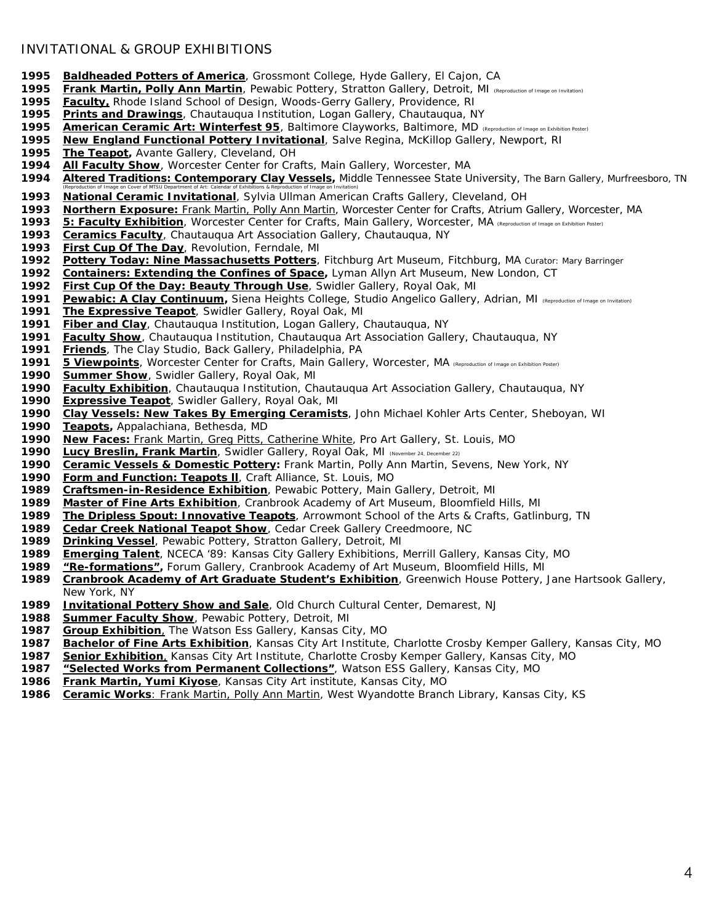## INVITATIONAL & GROUP EXHIBITIONS

- *Baldheaded Potters of America*, Grossmont College, Hyde Gallery, El Cajon, CA
- *Frank Martin, Polly Ann Martin*, Pewabic Pottery, Stratton Gallery, Detroit, MI *(Reproduction of Image on Invitation)*
- *Faculty***,** Rhode Island School of Design, Woods-Gerry Gallery, Providence, RI
- *Prints and Drawings,* Chautauqua Institution, Logan Gallery, Chautauqua, NY
- *American Ceramic Art: Winterfest 95*, Baltimore Clayworks, Baltimore, MD *(Reproduction of Image on Exhibition Poster)*
- *New England Functional Pottery Invitational*, Salve Regina, McKillop Gallery, Newport, RI
- The Teapot, Avante Gallery, Cleveland, OH
- *All Faculty Show,* Worcester Center for Crafts, Main Gallery, Worcester, MA
- *Altered Traditions: Contemporary Clay Vessels,* Middle Tennessee State University, The Barn Gallery, Murfreesboro, TN *(Reproduction of Image on Cover of MTSU Department of Art: Calendar of Exhibitions & Reproduction of Image on Invitation)*
- *National Ceramic Invitational,* Sylvia Ullman American Crafts Gallery, Cleveland, OH
- *Northern Exposure***:** Frank Martin, Polly Ann Martin, Worcester Center for Crafts, Atrium Gallery, Worcester, MA
- *5: Faculty Exhibition,* Worcester Center for Crafts, Main Gallery, Worcester, MA *(Reproduction of Image on Exhibition Poster)*
- *Ceramics Faculty,* Chautauqua Art Association Gallery, Chautauqua, NY
- *First Cup Of The Day,* Revolution, Ferndale, MI
- *Pottery Today: Nine Massachusetts Potters,* Fitchburg Art Museum, Fitchburg, MA *Curator: Mary Barringer*
- *Containers: Extending the Confines of Space,* Lyman Allyn Art Museum, New London, CT
- *First Cup Of the Day: Beauty Through Use*, Swidler Gallery, Royal Oak, MI
- *Pewabic: A Clay Continuum,* Siena Heights College, Studio Angelico Gallery, Adrian, MI *(Reproduction of Image on Invitation)*
- *The Expressive Teapot,* Swidler Gallery, Royal Oak, MI
- *Fiber and Clay,* Chautauqua Institution, Logan Gallery, Chautauqua, NY
- *Faculty Show*, Chautauqua Institution, Chautauqua Art Association Gallery, Chautauqua, NY
- **Friends**, The Clay Studio, Back Gallery, Philadelphia, PA
- *5 Viewpoints,* Worcester Center for Crafts, Main Gallery, Worcester, MA *(Reproduction of Image on Exhibition Poster)*
- *Summer Show,* Swidler Gallery, Royal Oak, MI
- *Faculty Exhibition*, Chautauqua Institution, Chautauqua Art Association Gallery, Chautauqua, NY
- *Expressive Teapot,* Swidler Gallery, Royal Oak, MI
- *Clay Vessels: New Takes By Emerging Ceramists,* John Michael Kohler Arts Center, Sheboyan, WI
- *Teapots,* Appalachiana, Bethesda, MD
- *New Faces:* Frank Martin, Greg Pitts, Catherine White, Pro Art Gallery, St. Louis, MO
- *Lucy Breslin, Frank Martin*, Swidler Gallery, Royal Oak, MI (November 24, December 22)
- *Ceramic Vessels & Domestic Pottery:* Frank Martin, Polly Ann Martin, Sevens, New York, NY
- *Form and Function: Teapots ll*, Craft Alliance, St. Louis, MO
- *Craftsmen-in-Residence Exhibition*, Pewabic Pottery, Main Gallery, Detroit, MI
- *Master of Fine Arts Exhibition*, Cranbrook Academy of Art Museum, Bloomfield Hills, MI
- *The Dripless Spout: Innovative Teapots*, Arrowmont School of the Arts & Crafts, Gatlinburg, TN
- *Cedar Creek National Teapot Show*, Cedar Creek Gallery Creedmoore, NC
- **Drinking Vessel**, Pewabic Pottery, Stratton Gallery, Detroit, MI
- *Emerging Talent*, NCECA '89: Kansas City Gallery Exhibitions, Merrill Gallery, Kansas City, MO
- *"Re-formations"***,** Forum Gallery, Cranbrook Academy of Art Museum, Bloomfield Hills, MI
- *Cranbrook Academy of Art Graduate Student's Exhibition*, Greenwich House Pottery, Jane Hartsook Gallery, New York, NY
- *Invitational Pottery Show and Sale*, Old Church Cultural Center, Demarest, NJ
- *Summer Faculty Show*, Pewabic Pottery, Detroit, MI
- *Group Exhibition,* The Watson Ess Gallery, Kansas City, MO
- *Bachelor of Fine Arts Exhibition*, Kansas City Art Institute, Charlotte Crosby Kemper Gallery, Kansas City, MO
- *Senior Exhibition*, Kansas City Art Institute, Charlotte Crosby Kemper Gallery, Kansas City, MO
- *"Selected Works from Permanent Collections"*, Watson ESS Gallery, Kansas City, MO
- *Frank Martin, Yumi Kiyose*, Kansas City Art institute, Kansas City, MO
- *Ceramic Works*: Frank Martin, Polly Ann Martin, West Wyandotte Branch Library, Kansas City, KS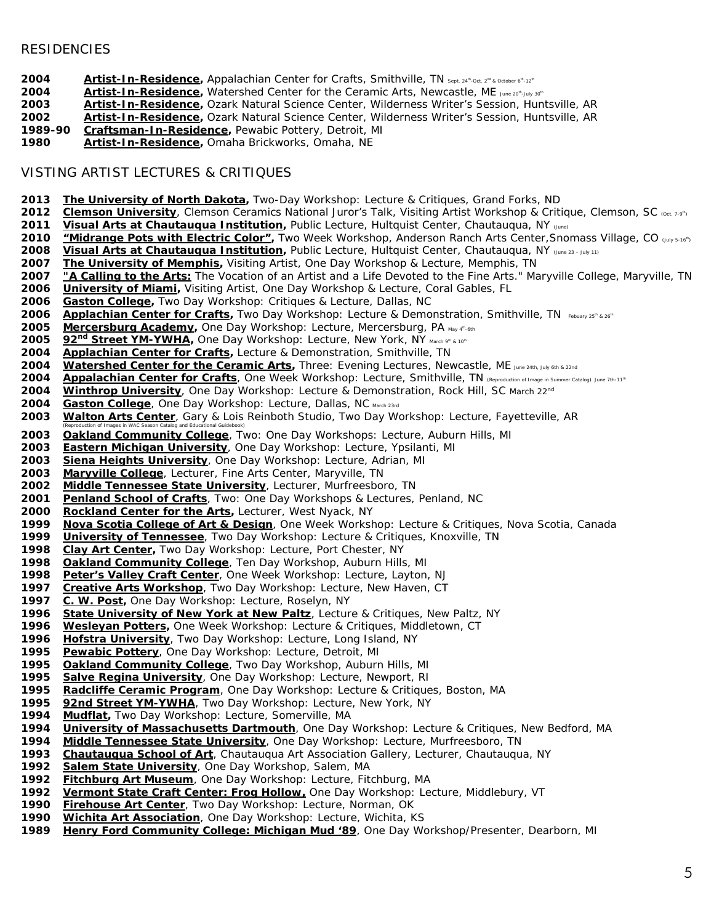## **RESIDENCIES**

- **2004** *Artist-In-Residence*, Appalachian Center for Crafts, Smithville, TN *sept. 24<sup>n</sup>-Oct. 2<sup>n</sup> & October 6<sup>n</sup>-12<sup>n</sup>*
- **2004** *Artist-In-Residence*, Watershed Center for the Ceramic Arts, Newcastle, ME *June 20*<sup>*n\_July 30<sup>n</sup></sup></sup>*
- *Artist-In-Residence***,** Ozark Natural Science Center, Wilderness Writer's Session, Huntsville, AR
- *Artist-In-Residence***,** Ozark Natural Science Center, Wilderness Writer's Session, Huntsville, AR
- **Craftsman-In-Residence**, Pewabic Pottery, Detroit, MI
- *Artist-In-Residence***,** Omaha Brickworks, Omaha, NE

## VISTING ARTIST LECTURES & CRITIQUES

- *The University of North Dakota***,** Two-Day Workshop: Lecture & Critiques, Grand Forks, ND
- *Clemson University*, Clemson Ceramics National Juror's Talk, Visiting Artist Workshop & Critique, Clemson, SC (Oct. 7-9")
- *Visual Arts at Chautauqua Institution*, Public Lecture, Hultquist Center, Chautauqua, NY (June)<br>2010 *L'Midrange Pots with Electric Color"*, Two Week Workshop, Anderson Ranch Arts Center, Sno
- *"Midrange Pots with Electric Color"***,** Two Week Workshop, Anderson Ranch Arts Center,Snomass Village, CO (July 5-16th)
- 2008 *Visual Arts at Chautauqua Institution*, Public Lecture, Hultquist Center, Chautauqua, NY (June 23 July 11)<br>2007 The University of Memphis, Visiting Artist, One Day Workshop & Lecture, Memphis, TN
- 2007 *The University of Memphis*, Visiting Artist, One Day Workshop & Lecture, Memphis, TN<br>2007 *"A Calling to the Arts:* The Vocation of an Artist and a Life Devoted to the Fine Arts." Ma
- *"A Calling to the Arts:* The Vocation of an Artist and a Life Devoted to the Fine Arts." Maryville College, Maryville, TN
- *University of Miami***,** Visiting Artist, One Day Workshop & Lecture, Coral Gables, FL
- *Gaston College***,** Two Day Workshop: Critiques & Lecture, Dallas, NC
- 2006 *Applachian Center for Crafts*, Two Day Workshop: Lecture & Demonstration, Smithville, TN *Febuary 25<sup>th</sup> & 26<sup>th</sup>*<br>2005 Mercersburg Academy, One Day Workshop: Lecture, Mercersburg, PA May d<sup>a</sup> 6fh
- *Mercersburg Academy,* One Day Workshop: Lecture, Mercersburg, PA *May 4th-6th*
- **92<sup>nd</sup> Street YM-YWHA**</sub>, One Day Workshop: Lecture, New York, NY *March 9<sup>p</sup> & 10<sup>p</sup>*<br>2004 *Applachian Center for Crafts*, Lecture & Demonstration, Smithville, TN
- *Applachian Center for Crafts,* Lecture & Demonstration, Smithville, TN
- *Watershed Center for the Ceramic Arts***,** Three: Evening Lectures, Newcastle, ME *June 24th, July 6th & 22nd*
- *Appalachian Center for Crafts*, One Week Workshop: Lecture, Smithville, TN *(Reproduction of Image in Summer Catalog) June 7th-11th*
- *Winthrop University*, One Day Workshop: Lecture & Demonstration, Rock Hill, SC *March 22nd*
- *Gaston College*, One Day Workshop: Lecture, Dallas, NC *March 23rd*
- *Walton Arts Center*, Gary & Lois Reinboth Studio, Two Day Workshop: Lecture, Fayetteville, AR
- *(Reproduction of Images in WAC Season Catalog and Educational Guidebook) Oakland Community College*, Two: One Day Workshops: Lecture, Auburn Hills, MI
- *Eastern Michigan University*, One Day Workshop: Lecture, Ypsilanti, MI
- *Siena Heights University*, One Day Workshop: Lecture, Adrian, MI
- *Maryville College,* Lecturer, Fine Arts Center, Maryville, TN
- *Middle Tennessee State University*, Lecturer, Murfreesboro, TN
- *Penland School of Crafts*, Two: One Day Workshops & Lectures, Penland, NC
- *Rockland Center for the Arts***,** Lecturer, West Nyack, NY
- *Nova Scotia College of Art & Design*, One Week Workshop: Lecture & Critiques, Nova Scotia, Canada
- **University of Tennessee**, Two Day Workshop: Lecture & Critiques, Knoxville, TN
- *Clay Art Center,* Two Day Workshop: Lecture, Port Chester, NY
- **Oakland Community College**, Ten Day Workshop, Auburn Hills, MI
- *Peter's Valley Craft Center*, One Week Workshop: Lecture, Layton, NJ
- *Creative Arts Workshop*, Two Day Workshop: Lecture, New Haven, CT
- *C. W. Post,* One Day Workshop: Lecture, Roselyn, NY
- *State University of New York at New Paltz*, Lecture & Critiques, New Paltz, NY
- *Wesleyan Potters,* One Week Workshop: Lecture & Critiques, Middletown, CT
- *Hofstra University*, Two Day Workshop: Lecture, Long Island, NY
- *Pewabic Pottery*, One Day Workshop: Lecture, Detroit, MI
- *Oakland Community College*, Two Day Workshop, Auburn Hills, MI
- *Salve Regina University*, One Day Workshop: Lecture, Newport, RI
- *Radcliffe Ceramic Program*, One Day Workshop: Lecture & Critiques, Boston, MA
- *92nd Street YM-YWHA*, Two Day Workshop: Lecture, New York, NY
- *Mudflat,* Two Day Workshop: Lecture, Somerville, MA
- *University of Massachusetts Dartmouth*, One Day Workshop: Lecture & Critiques, New Bedford, MA
- *Middle Tennessee State University*, One Day Workshop: Lecture, Murfreesboro, TN
- *Chautauqua School of Art*, Chautauqua Art Association Gallery, Lecturer, Chautauqua, NY
- *Salem State University*, One Day Workshop, Salem, MA
- *Fitchburg Art Museum*, One Day Workshop: Lecture, Fitchburg, MA
- *Vermont State Craft Center: Frog Hollow,* One Day Workshop: Lecture, Middlebury, VT
- *Firehouse Art Center*, Two Day Workshop: Lecture, Norman, OK
- *Wichita Art Association*, One Day Workshop: Lecture, Wichita, KS
- *Henry Ford Community College: Michigan Mud '89*, One Day Workshop/Presenter, Dearborn, MI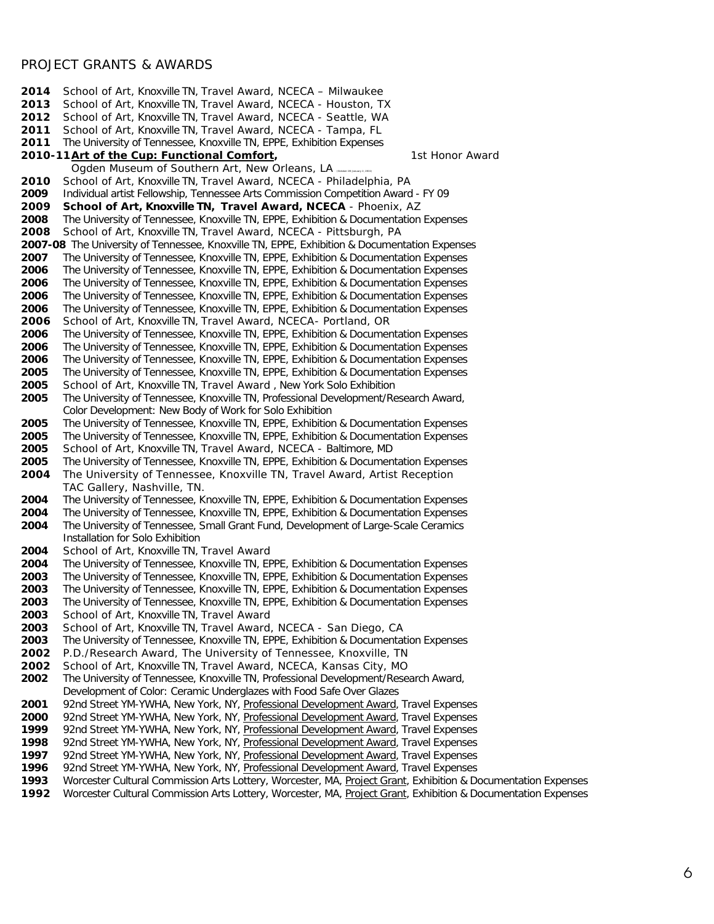## PROJECT GRANTS & AWARDS

 School of Art, Knoxville TN, Travel Award, NCECA – Milwaukee School of Art, Knoxville TN, Travel Award, NCECA - Houston, TX School of Art, Knoxville TN, Travel Award, NCECA - Seattle, WA School of Art, Knoxville TN, Travel Award, NCECA - Tampa, FL The University of Tennessee, Knoxville TN, EPPE, Exhibition Expenses **2010-11 Art of the Cup: Functional Comfort**, **1st Honor Award** Ogden Museum of Southern Art, New Orleans, LA School of Art, Knoxville TN, Travel Award, NCECA - Philadelphia, PA Individual artist Fellowship, Tennessee Arts Commission Competition Award - FY 09 **School of Art, Knoxville TN, Travel Award, NCECA** - Phoenix, AZ The University of Tennessee, Knoxville TN, EPPE, Exhibition & Documentation Expenses School of Art, Knoxville TN, Travel Award, NCECA - Pittsburgh, PA **2007-08** The University of Tennessee, Knoxville TN, EPPE, Exhibition & Documentation Expenses The University of Tennessee, Knoxville TN, EPPE, Exhibition & Documentation Expenses The University of Tennessee, Knoxville TN, EPPE, Exhibition & Documentation Expenses The University of Tennessee, Knoxville TN, EPPE, Exhibition & Documentation Expenses The University of Tennessee, Knoxville TN, EPPE, Exhibition & Documentation Expenses The University of Tennessee, Knoxville TN, EPPE, Exhibition & Documentation Expenses School of Art, Knoxville TN, Travel Award, NCECA- Portland, OR The University of Tennessee, Knoxville TN, EPPE, Exhibition & Documentation Expenses The University of Tennessee, Knoxville TN, EPPE, Exhibition & Documentation Expenses The University of Tennessee, Knoxville TN, EPPE, Exhibition & Documentation Expenses The University of Tennessee, Knoxville TN, EPPE, Exhibition & Documentation Expenses School of Art, Knoxville TN, Travel Award , New York Solo Exhibition The University of Tennessee, Knoxville TN, Professional Development/Research Award, Color Development: New Body of Work for Solo Exhibition The University of Tennessee, Knoxville TN, EPPE, Exhibition & Documentation Expenses The University of Tennessee, Knoxville TN, EPPE, Exhibition & Documentation Expenses School of Art, Knoxville TN, Travel Award, NCECA - Baltimore, MD The University of Tennessee, Knoxville TN, EPPE, Exhibition & Documentation Expenses The University of Tennessee, Knoxville TN, Travel Award, Artist Reception TAC Gallery, Nashville, TN. The University of Tennessee, Knoxville TN, EPPE, Exhibition & Documentation Expenses The University of Tennessee, Knoxville TN, EPPE, Exhibition & Documentation Expenses The University of Tennessee, Small Grant Fund, Development of Large-Scale Ceramics Installation for Solo Exhibition School of Art, Knoxville TN, Travel Award The University of Tennessee, Knoxville TN, EPPE, Exhibition & Documentation Expenses The University of Tennessee, Knoxville TN, EPPE, Exhibition & Documentation Expenses The University of Tennessee, Knoxville TN, EPPE, Exhibition & Documentation Expenses The University of Tennessee, Knoxville TN, EPPE, Exhibition & Documentation Expenses School of Art, Knoxville TN, Travel Award School of Art, Knoxville TN, Travel Award, NCECA - San Diego, CA The University of Tennessee, Knoxville TN, EPPE, Exhibition & Documentation Expenses P.D./Research Award, The University of Tennessee, Knoxville, TN School of Art, Knoxville TN, Travel Award, NCECA, Kansas City, MO The University of Tennessee, Knoxville TN, Professional Development/Research Award, Development of Color: Ceramic Underglazes with Food Safe Over Glazes 92nd Street YM-YWHA, New York, NY, *Professional Development Award,* Travel Expenses 92nd Street YM-YWHA, New York, NY, *Professional Development Award,* Travel Expenses 92nd Street YM-YWHA, New York, NY, *Professional Development Award,* Travel Expenses 92nd Street YM-YWHA, New York, NY, *Professional Development Award,* Travel Expenses 92nd Street YM-YWHA, New York, NY, *Professional Development Award,* Travel Expenses 92nd Street YM-YWHA, New York, NY, *Professional Development Award,* Travel Expenses Worcester Cultural Commission Arts Lottery, Worcester, MA, *Project Grant,* Exhibition & Documentation Expenses

Worcester Cultural Commission Arts Lottery, Worcester, MA, *Project Grant,* Exhibition & Documentation Expenses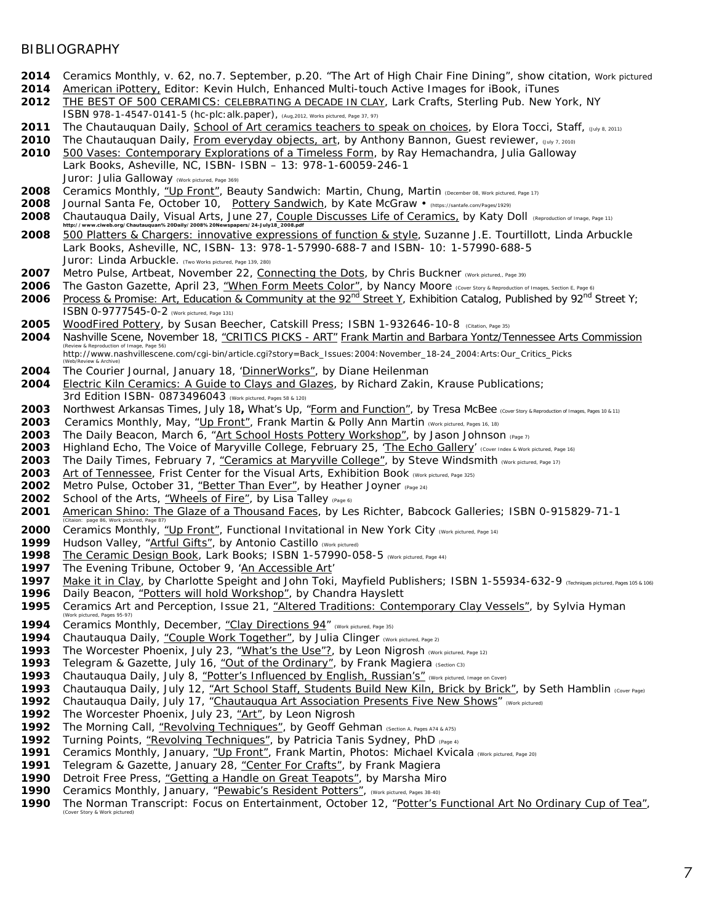#### **BIBLIOGRAPHY**

- Ceramics Monthly, v. 62, no.7. September, p.20. "The Art of High Chair Fine Dining", show citation, Work pictured
- *American iPottery,* Editor: Kevin Hulch, Enhanced Multi-touch Active Images for iBook, iTunes
- *THE BEST OF 500 CERAMICS: CELEBRATING A DECADE IN CLAY,* Lark Crafts, Sterling Pub. New York, NY *ISBN 978-1-4547-0141-5 (hc-plc:alk.paper), (Aug,2012, Works pictured, Page 37, 97)*
- The Chautauquan Daily, School of Art ceramics teachers to speak on choices, by Elora Tocci, Staff, (July 8, 2011)
- The Chautauquan Daily, From everyday objects, art, by Anthony Bannon, Guest reviewer, (July 7, 2010)<br>**2010** 500 Vases: Contemporary Explorations of a Timeless Form, by Ray Hemachandra, Julia Galloway
- 500 Vases: Contemporary Explorations of a Timeless Form, by Ray Hemachandra, Julia Galloway Lark Books, Asheville, NC, ISBN- ISBN – 13: 978-1-60059-246-1 Juror: Julia Galloway *(Work pictured, Page 369)*
- Ceramics Monthly, "*Up Front",* Beauty Sandwich: Martin, Chung, Martin *(December 08, Work pictured, Page 17)*
- 2008 Journal Santa Fe, October 10, Pottery Sandwich, by Kate McGraw (https://santafe.com/Pages/1929)
- Chautauqua Daily, Visual Arts, June 27, *Couple Discusses Life of Ceramics,* by Katy Doll *(Reproduction of Image, Page 11)*
- http://www.ciweb.org/Chautauquan%20Daily/2008%20Newspapers/24-July18\_2008.pdf<br>2008 500 Platters & Chargers: innovative expressions of function & style, Suzanne J.E. Tourtillott, Linda Arbuckle Lark Books, Asheville, NC, ISBN- 13: 978-1-57990-688-7 and ISBN- 10: 1-57990-688-5 Juror: Linda Arbuckle. *(Two Works pictured, Page 139, 280)*
- Metro Pulse, Artbeat, November 22, Connecting the Dots, by Chris Buckner *(Work pictured,, Page 39)*
- The Gaston Gazette, April 23, *"When Form Meets Color",* by Nancy Moore *(Cover Story & Reproduction of Images, Section E, Page 6)*
- **2006** Process & Promise: Art, Education & Community at the 92<sup>nd</sup> Street Y, Exhibition Catalog, Published by 92<sup>nd</sup> Street Y; ISBN 0-9777545-0-2 *(Work pictured, Page 131)*
- WoodFired Pottery, by Susan Beecher, Catskill Press; ISBN 1-932646-10-8 *(Citation, Page 35)*
- Nashville Scene, November 18, "*CRITICS PICKS - ART*" Frank Martin and Barbara Yontz/Tennessee Arts Commission *(Review & Reproduction of Image, Page 56)*  [http://www.nashvillescene.com/cgi-bin/article.cgi?story=Back\\_Issues:2004:November\\_18-2](http://www.nashvillescene.com/cgi-bin/article.cgi?story=Back_Issues:2004:November_18-)4\_2004:Arts:Our\_Critics\_Picks
- *(Web/Review & Archive)*
- The Courier Journal, January 18, '*DinnerWorks",* by Diane Heilenman Electric Kiln Ceramics: A Guide to Clays and Glazes, by Richard Zakin, Krause Publications; 3rd Edition ISBN- 0873496043 *(Work pictured, Pages 58 & 120)*
- Northwest Arkansas Times, July 18**,** What's Up, *"Form and Function",* by Tresa McBee *(Cover Story & Reproduction of Images, Pages 10 & 11)*
- Ceramics Monthly, May, *"Up Front", Frank Martin & Polly Ann Martin (Work pictured, Pages 16, 18)*
- The Daily Beacon, March 6, *"Art School Hosts Pottery Workshop*", by Jason Johnson *(Page 7)*
- Highland Echo, The Voice of Maryville College, February 25, '*The Echo Gallery' (Cover Index & Work pictured, Page 16)*
- The Daily Times, February 7, "*Ceramics at Maryville College"*, by Steve Windsmith *(Work pictured, Page 17)*
- Art of Tennessee, Frist Center for the Visual Arts, Exhibition Book *(Work pictured, Page 325)*
- Metro Pulse, October 31, "*Better Than Ever",* by Heather Joyner *(Page 24)*
- 2002 School of the Arts, *"Wheels of Fire"*, by Lisa Talley (Page 6)
- American Shino: The Glaze of a Thousand Faces, by Les Richter, Babcock Galleries; ISBN 0-915829-71-1 *(Citaion: page 86, Work pictured, Page 87)*
- Ceramics Monthly, "*Up Front",* Functional Invitational in New York City *(Work pictured, Page 14)*
- Hudson Valley, "*Artful Gifts",* by Antonio Castillo *(Work pictured)*
- The Ceramic Design Book, Lark Books; ISBN 1-57990-058-5 *(Work pictured, Page 44)*
- The Evening Tribune, October 9, '*An Accessible Art'*
- Make it in Clay, by Charlotte Speight and John Toki, Mayfield Publishers; ISBN 1-55934-632-9 *(Techniques pictured, Pages 105 & 106)* Daily Beacon, "*Potters will hold Workshop",* by Chandra Hayslett
- Ceramics Art and Perception, Issue 21, *"Altered Traditions: Contemporary Clay Vessels",* by Sylvia Hyman
- *(Work pictured, Pages 95-97)* Ceramics Monthly, December, "*Clay Directions 94*" *(Work pictured, Page 35)*
- 
- Chautauqua Daily, "*Couple Work Together*", by Julia Clinger *(Work pictured, Page 2)*
- The Worcester Phoenix, July 23, "*What's the Use"?,* by Leon Nigrosh *(Work pictured, Page 12)*
- **1993** Telegram & Gazette, July 16, "Out of the Ordinary", by Frank Magiera (Section C3)<br>**1993** Chautaugua Daily, July 8, "Potter's Influenced by English, Russian's" (Work pictured,
- Chautauqua Daily, July 8, "*Potter's Influenced by English, Russian's" (Work pictured, Image on Cover)*
- Chautauqua Daily, July 12, *"Art School Staff, Students Build New Kiln, Brick by Brick*", by Seth Hamblin *(Cover Page)*
- Chautauqua Daily, July 17, "*Chautauqua Art Association Presents Five New Shows" (Work pictured)*
- The Worcester Phoenix, July 23, "*Art",* by Leon Nigrosh
- The Morning Call, "*Revolving Techniques",* by Geoff Gehman *(Section A, Pages A74 & A75)*
- 
- Turning Points, "*Revolving Techniques*", by Patricia Tanis Sydney, PhD *(Page 4)* Ceramics Monthly, January, "*Up Front",* Frank Martin, Photos: Michael Kvicala *(Work pictured, Page 20)*
- 
- Telegram & Gazette, January 28, "*Center For Crafts",* by Frank Magiera Detroit Free Press, "*Getting a Handle on Great Teapots*", by Marsha Miro
- Ceramics Monthly, January, "*Pewabic's Resident Potters*", *(Work pictured, Pages 38-40)*
- The Norman Transcript: Focus on Entertainment, October 12, "*Potter's Functional Art No Ordinary Cup of Tea", (Cover Story & Work pictured)*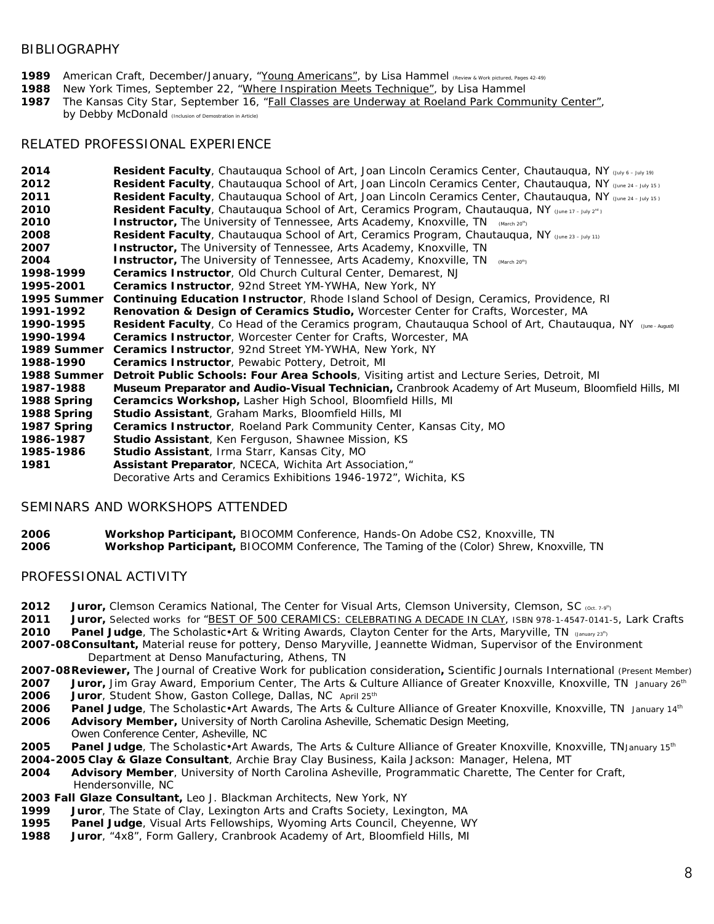#### BIBLIOGRAPHY

- **1989** American Craft, December/January, "*Young Americans",* by Lisa Hammel *(Review & Work pictured, Pages 42-49)*
- **1988** New York Times, September 22, "*Where Inspiration Meets Technique*", by Lisa Hammel
- **1987** The Kansas City Star, September 16, "*Fall Classes are Underway at Roeland Park Community Center*",

by Debby McDonald *(Inclusion of Demostration in Article)*

## RELATED PROFESSIONAL EXPERIENCE

| 2014        | Resident Faculty, Chautauqua School of Art, Joan Lincoln Ceramics Center, Chautauqua, NY (July 6 - July 19)            |
|-------------|------------------------------------------------------------------------------------------------------------------------|
| 2012        | Resident Faculty, Chautauqua School of Art, Joan Lincoln Ceramics Center, Chautauqua, NY (June 24 - July 15)           |
| 2011        | Resident Faculty, Chautauqua School of Art, Joan Lincoln Ceramics Center, Chautauqua, NY (June 24 - July 15)           |
| 2010        | <b>Resident Faculty</b> , Chautauqua School of Art, Ceramics Program, Chautauqua, NY (June 17 - July 2 <sup>nd</sup> ) |
| 2010        | <b>Instructor</b> , The University of Tennessee, Arts Academy, Knoxville, TN (March 20 <sup>m</sup> )                  |
| 2008        | Resident Faculty, Chautauqua School of Art, Ceramics Program, Chautauqua, NY (June 23 - July 11)                       |
| 2007        | <b>Instructor</b> , The University of Tennessee, Arts Academy, Knoxville, TN                                           |
| 2004        | <b>Instructor</b> , The University of Tennessee, Arts Academy, Knoxville, TN<br>(March 20 <sup>th</sup> )              |
| 1998-1999   | <b>Ceramics Instructor</b> , Old Church Cultural Center, Demarest, NJ                                                  |
| 1995-2001   | <b>Ceramics Instructor</b> , 92nd Street YM-YWHA, New York, NY                                                         |
| 1995 Summer | <b>Continuing Education Instructor</b> , Rhode Island School of Design, Ceramics, Providence, RI                       |
| 1991-1992   | <b>Renovation &amp; Design of Ceramics Studio, Worcester Center for Crafts, Worcester, MA</b>                          |
| 1990-1995   | Resident Faculty, Co Head of the Ceramics program, Chautauqua School of Art, Chautauqua, NY (Ane-August)               |
| 1990-1994   | <b>Ceramics Instructor, Worcester Center for Crafts, Worcester, MA</b>                                                 |
| 1989 Summer | <b>Ceramics Instructor, 92nd Street YM-YWHA, New York, NY</b>                                                          |
| 1988-1990   | <b>Ceramics Instructor</b> , Pewabic Pottery, Detroit, MI                                                              |
| 1988 Summer | Detroit Public Schools: Four Area Schools, Visiting artist and Lecture Series, Detroit, MI                             |
| 1987-1988   | Museum Preparator and Audio-Visual Technician, Cranbrook Academy of Art Museum, Bloomfield Hills, MI                   |
| 1988 Spring | <b>Ceramcics Workshop, Lasher High School, Bloomfield Hills, MI</b>                                                    |
| 1988 Spring | <b>Studio Assistant</b> , Graham Marks, Bloomfield Hills, MI                                                           |
| 1987 Spring | <b>Ceramics Instructor</b> , Roeland Park Community Center, Kansas City, MO                                            |
| 1986-1987   | <b>Studio Assistant</b> , Ken Ferguson, Shawnee Mission, KS                                                            |
| 1985-1986   | Studio Assistant, Irma Starr, Kansas City, MO                                                                          |
| 1981        | Assistant Preparator, NCECA, Wichita Art Association,"                                                                 |
|             | Decorative Arts and Ceramics Exhibitions 1946-1972", Wichita, KS                                                       |

## SEMINARS AND WORKSHOPS ATTENDED

**2006** *Workshop Participant***,** BIOCOMM Conference, Hands-On Adobe CS2, Knoxville, TN **2006** *Workshop Participant***,** BIOCOMM Conference, The Taming of the (Color) Shrew, Knoxville, TN

### PROFESSIONAL ACTIVITY

- **2012 Juror,** Clemson Ceramics National, The Center for Visual Arts, Clemson University, Clemson, SC (Oct. 7-9<sup>th</sup>)
- **2011 Juror,** Selected works for "*BEST OF 500 CERAMICS: CELEBRATING A DECADE IN CLAY, ISBN 978-1-4547-0141-5*, Lark Crafts
- **2010 Panel Judge**, The Scholastic•Art & Writing Awards, Clayton Center for the Arts, Maryville, TN (*January 23th)*
- **2007-08***Consultant,* Material reuse for pottery, Denso Maryville, Jeannette Widman, Supervisor of the Environment Department at Denso Manufacturing, Athens, TN
- **2007-08Reviewer,** The Journal of Creative Work for publication consideration*,* Scientific Journals International (*Present Member)*
- **2007 Juror,** Jim Gray Award, Emporium Center, The Arts & Culture Alliance of Greater Knoxville, Knoxville, TN *January 26th*
- **2006 Juror**, Student Show, Gaston College, Dallas, NC *April 25th*
- **2006 Panel Judge**, The Scholastic•Art Awards, The Arts & Culture Alliance of Greater Knoxville, Knoxville, TN *January 14th*
- **2006** *Advisory Member,* University of North Carolina Asheville, Schematic Design Meeting,

Owen Conference Center, Asheville, NC

- **2005 Panel Judge**, The Scholastic•Art Awards, The Arts & Culture Alliance of Greater Knoxville, Knoxville, TN*January 15th*
- **2004-2005** *Clay & Glaze Consultant,* Archie Bray Clay Business, Kaila Jackson: Manager, Helena, MT
- **2004** *Advisory Member,* University of North Carolina Asheville, Programmatic Charette, The Center for Craft, Hendersonville, NC
- **2003 Fall** *Glaze Consultant,* Leo J. Blackman Architects, New York, NY
- **1999 Juror**, The State of Clay, Lexington Arts and Crafts Society, Lexington, MA
- **1995 Panel Judge**, Visual Arts Fellowships, Wyoming Arts Council, Cheyenne, WY
- **1988 Juror**, "4x8", Form Gallery, Cranbrook Academy of Art, Bloomfield Hills, MI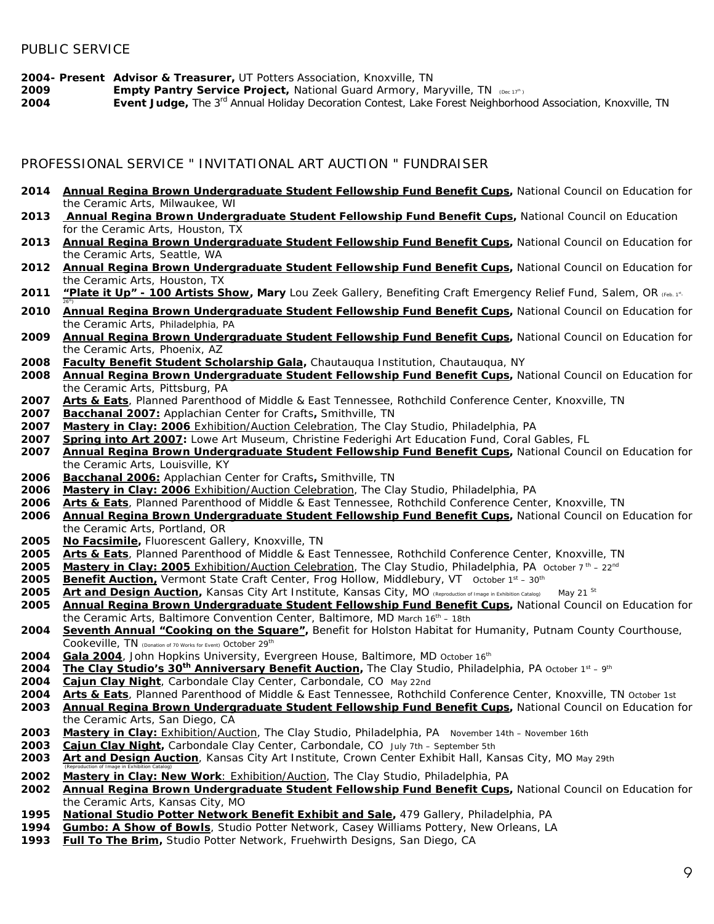**2004- Present Advisor & Treasurer,** UT Potters Association, Knoxville, TN

**2009 <b>Empty Pantry Service Project**, National Guard Armory, Maryville, TN (Dec 17<sup>th</sup>)<br>**2004** *Event Judge*, The 3<sup>rd</sup> Annual Holidav Decoration Contest, Lake Forest Neighborho

*Event Judge,* The 3rd Annual Holiday Decoration Contest, Lake Forest Neighborhood Association, Knoxville, TN

## PROFESSIONAL SERVICE " INVITATIONAL ART AUCTION " FUNDRAISER

- *Annual Regina Brown Undergraduate Student Fellowship Fund Benefit Cups,* National Council on Education for the Ceramic Arts, Milwaukee, WI
- *Annual Regina Brown Undergraduate Student Fellowship Fund Benefit Cups,* National Council on Education for the Ceramic Arts, Houston, TX
- *Annual Regina Brown Undergraduate Student Fellowship Fund Benefit Cups,* National Council on Education for the Ceramic Arts, Seattle, WA
- *Annual Regina Brown Undergraduate Student Fellowship Fund Benefit Cups,* National Council on Education for the Ceramic Arts, Houston, TX
- 2011 *"Plate it Up" 100 Artists Show,* Mary Lou Zeek Gallery, Benefiting Craft Emergency Relief Fund, Salem, OR (Feb. 1<sup>st</sup>- $26<sup>th</sup>$
- *Annual Regina Brown Undergraduate Student Fellowship Fund Benefit Cups,* National Council on Education for the Ceramic Arts, Philadelphia, PA
- *Annual Regina Brown Undergraduate Student Fellowship Fund Benefit Cups,* National Council on Education for the Ceramic Arts, Phoenix, AZ
- *Faculty Benefit Student Scholarship Gala,* Chautauqua Institution, Chautauqua, NY
- *Annual Regina Brown Undergraduate Student Fellowship Fund Benefit Cups,* National Council on Education for the Ceramic Arts, Pittsburg, PA
- *Arts & Eats*, Planned Parenthood of Middle & East Tennessee, Rothchild Conference Center, Knoxville, TN
- *Bacchanal 2007:* Applachian Center for Crafts*,* Smithville, TN
- *Mastery in Clay: 2006* Exhibition/Auction Celebration, The Clay Studio, Philadelphia, PA
- *Spring into Art 2007:* Lowe Art Museum, Christine Federighi Art Education Fund, Coral Gables, FL
- *Annual Regina Brown Undergraduate Student Fellowship Fund Benefit Cups,* National Council on Education for the Ceramic Arts, Louisville, KY
- *Bacchanal 2006:* Applachian Center for Crafts*,* Smithville, TN
- *Mastery in Clay: 2006* Exhibition/Auction Celebration, The Clay Studio, Philadelphia, PA
- *Arts & Eats*, Planned Parenthood of Middle & East Tennessee, Rothchild Conference Center, Knoxville, TN
- *Annual Regina Brown Undergraduate Student Fellowship Fund Benefit Cups,* National Council on Education for the Ceramic Arts, Portland, OR
- *No Facsimile,* Fluorescent Gallery, Knoxville, TN
- *Arts & Eats*, Planned Parenthood of Middle & East Tennessee, Rothchild Conference Center, Knoxville, TN
- *Mastery in Clay: 2005* Exhibition/Auction Celebration, The Clay Studio, Philadelphia, PA *October 7 th – 22nd*
- *Benefit Auction,* Vermont State Craft Center, Frog Hollow, Middlebury, VT*October 1st – 30th*
- *Art and Design Auction,* Kansas City Art Institute, Kansas City, MO *(Reproduction of Image in Exhibition Catalog) May 21 St*
- *Annual Regina Brown Undergraduate Student Fellowship Fund Benefit Cups,* National Council on Education for the Ceramic Arts, Baltimore Convention Center, Baltimore, MD *March 16th – 18th*
- *Seventh Annual "Cooking on the Square",* Benefit for Holston Habitat for Humanity, Putnam County Courthouse, Cookeville, TN *(Donation of 70 Works for Event) October 29th*
- *Gala 2004*, John Hopkins University, Evergreen House, Baltimore, MD *October 16th*
- *The Clay Studio's 30th Anniversary Benefit Auction,* The Clay Studio, Philadelphia, PA *October <sup>1</sup>st – <sup>9</sup>th*
- *Cajun Clay Night*, Carbondale Clay Center, Carbondale, CO *May 22nd*
- *Arts & Eats*, Planned Parenthood of Middle & East Tennessee, Rothchild Conference Center, Knoxville, TN *October 1st Annual Regina Brown Undergraduate Student Fellowship Fund Benefit Cups,* National Council on Education for
- the Ceramic Arts, San Diego, CA *Mastery in Clay:* Exhibition/Auction, The Clay Studio, Philadelphia, PA November 14th – November 16th
- *Cajun Clay Night,* Carbondale Clay Center, Carbondale, CO July 7th September 5th
- **Art and** *Design Auction*, Kansas City Art Institute, Crown Center Exhibit Hall, Kansas City, MO May 29th
- (Reproduction of Image in Exhibition Catalog) *Mastery in Clay: New Work:* Exhibition/Auction, The Clay Studio, Philadelphia, PA
- *Annual Regina Brown Undergraduate Student Fellowship Fund Benefit Cups,* National Council on Education for the Ceramic Arts, Kansas City, MO
- **National Studio Potter Network Benefit Exhibit and Sale,** 479 Gallery, Philadelphia, PA
- *Gumbo: A Show of Bowls,* Studio Potter Network, Casey Williams Pottery, New Orleans, LA
- *Full To The Brim,* Studio Potter Network, Fruehwirth Designs, San Diego, CA